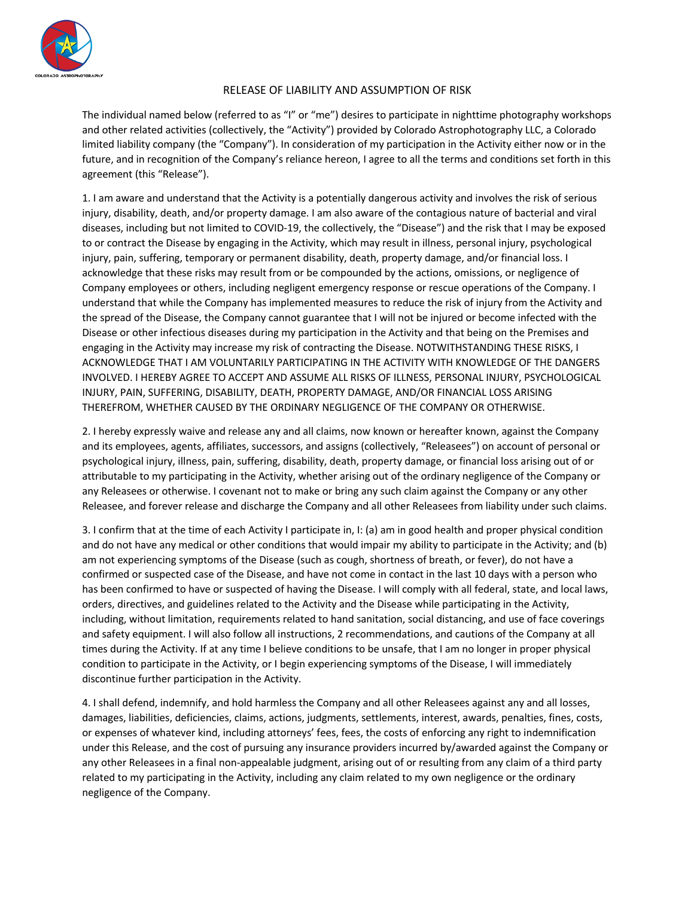

## RELEASE OF LIABILITY AND ASSUMPTION OF RISK

The individual named below (referred to as "I" or "me") desires to participate in nighttime photography workshops and other related activities (collectively, the "Activity") provided by Colorado Astrophotography LLC, a Colorado limited liability company (the "Company"). In consideration of my participation in the Activity either now or in the future, and in recognition of the Company's reliance hereon, I agree to all the terms and conditions set forth in this agreement (this "Release").

1. I am aware and understand that the Activity is a potentially dangerous activity and involves the risk of serious injury, disability, death, and/or property damage. I am also aware of the contagious nature of bacterial and viral diseases, including but not limited to COVID-19, the collectively, the "Disease") and the risk that I may be exposed to or contract the Disease by engaging in the Activity, which may result in illness, personal injury, psychological injury, pain, suffering, temporary or permanent disability, death, property damage, and/or financial loss. I acknowledge that these risks may result from or be compounded by the actions, omissions, or negligence of Company employees or others, including negligent emergency response or rescue operations of the Company. I understand that while the Company has implemented measures to reduce the risk of injury from the Activity and the spread of the Disease, the Company cannot guarantee that I will not be injured or become infected with the Disease or other infectious diseases during my participation in the Activity and that being on the Premises and engaging in the Activity may increase my risk of contracting the Disease. NOTWITHSTANDING THESE RISKS, I ACKNOWLEDGE THAT I AM VOLUNTARILY PARTICIPATING IN THE ACTIVITY WITH KNOWLEDGE OF THE DANGERS INVOLVED. I HEREBY AGREE TO ACCEPT AND ASSUME ALL RISKS OF ILLNESS, PERSONAL INJURY, PSYCHOLOGICAL INJURY, PAIN, SUFFERING, DISABILITY, DEATH, PROPERTY DAMAGE, AND/OR FINANCIAL LOSS ARISING THEREFROM, WHETHER CAUSED BY THE ORDINARY NEGLIGENCE OF THE COMPANY OR OTHERWISE.

2. I hereby expressly waive and release any and all claims, now known or hereafter known, against the Company and its employees, agents, affiliates, successors, and assigns (collectively, "Releasees") on account of personal or psychological injury, illness, pain, suffering, disability, death, property damage, or financial loss arising out of or attributable to my participating in the Activity, whether arising out of the ordinary negligence of the Company or any Releasees or otherwise. I covenant not to make or bring any such claim against the Company or any other Releasee, and forever release and discharge the Company and all other Releasees from liability under such claims.

3. I confirm that at the time of each Activity I participate in, I: (a) am in good health and proper physical condition and do not have any medical or other conditions that would impair my ability to participate in the Activity; and (b) am not experiencing symptoms of the Disease (such as cough, shortness of breath, or fever), do not have a confirmed or suspected case of the Disease, and have not come in contact in the last 10 days with a person who has been confirmed to have or suspected of having the Disease. I will comply with all federal, state, and local laws, orders, directives, and guidelines related to the Activity and the Disease while participating in the Activity, including, without limitation, requirements related to hand sanitation, social distancing, and use of face coverings and safety equipment. I will also follow all instructions, 2 recommendations, and cautions of the Company at all times during the Activity. If at any time I believe conditions to be unsafe, that I am no longer in proper physical condition to participate in the Activity, or I begin experiencing symptoms of the Disease, I will immediately discontinue further participation in the Activity.

4. I shall defend, indemnify, and hold harmless the Company and all other Releasees against any and all losses, damages, liabilities, deficiencies, claims, actions, judgments, settlements, interest, awards, penalties, fines, costs, or expenses of whatever kind, including attorneys' fees, fees, the costs of enforcing any right to indemnification under this Release, and the cost of pursuing any insurance providers incurred by/awarded against the Company or any other Releasees in a final non-appealable judgment, arising out of or resulting from any claim of a third party related to my participating in the Activity, including any claim related to my own negligence or the ordinary negligence of the Company.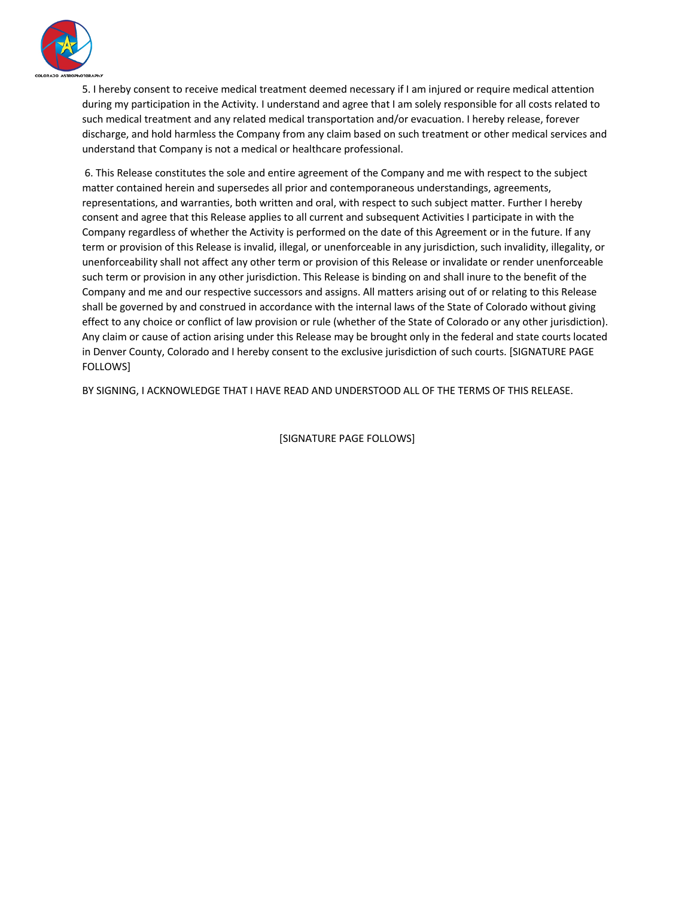

5. I hereby consent to receive medical treatment deemed necessary if I am injured or require medical attention during my participation in the Activity. I understand and agree that I am solely responsible for all costs related to such medical treatment and any related medical transportation and/or evacuation. I hereby release, forever discharge, and hold harmless the Company from any claim based on such treatment or other medical services and understand that Company is not a medical or healthcare professional.

6. This Release constitutes the sole and entire agreement of the Company and me with respect to the subject matter contained herein and supersedes all prior and contemporaneous understandings, agreements, representations, and warranties, both written and oral, with respect to such subject matter. Further I hereby consent and agree that this Release applies to all current and subsequent Activities I participate in with the Company regardless of whether the Activity is performed on the date of this Agreement or in the future. If any term or provision of this Release is invalid, illegal, or unenforceable in any jurisdiction, such invalidity, illegality, or unenforceability shall not affect any other term or provision of this Release or invalidate or render unenforceable such term or provision in any other jurisdiction. This Release is binding on and shall inure to the benefit of the Company and me and our respective successors and assigns. All matters arising out of or relating to this Release shall be governed by and construed in accordance with the internal laws of the State of Colorado without giving effect to any choice or conflict of law provision or rule (whether of the State of Colorado or any other jurisdiction). Any claim or cause of action arising under this Release may be brought only in the federal and state courts located in Denver County, Colorado and I hereby consent to the exclusive jurisdiction of such courts. [SIGNATURE PAGE FOLLOWS]

BY SIGNING, I ACKNOWLEDGE THAT I HAVE READ AND UNDERSTOOD ALL OF THE TERMS OF THIS RELEASE.

[SIGNATURE PAGE FOLLOWS]